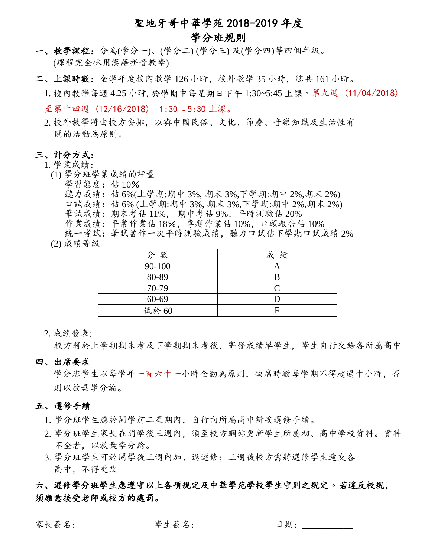# 聖地牙哥中華學苑 2018-2019 年度 學分班規則

- 一、教學課程:分為(學分一)、(學分二) (學分三) 及(學分四)等四個年級。 (課程完全採用漢語拼音教學)
- 二、上課時數:全學年度校內教學 126 小時,校外教學 35 小時,總共 161 小時。
	- 1. 校內教學每週 4.25 小時, 於學期中每星期日下午 1:30~5:45 上課。第九週 (11/04/2018) 至第十四週 (12/16/2018) 1:30 - 5:30 上課。
	- 2. 校外教學將由校方安排,以與中國民俗、文化、節慶、音樂知識及生活性有 關的活動為原則。

## 三、計分方式:

### 1. 學業成績:

- (1) 學分班學業成績的評量
	- 學習態度: 佔 10%
		- 聽力成績: 佔 6%(上學期:期中 3%, 期末 3%,下學期:期中 2%,期末 2%)
		- 口試成績:佔 6% (上學期:期中 3%, 期末 3%,下學期:期中 2%,期末 2%)
		- 筆試成績:期末考佔 11%, 期中考佔 9%,平時測驗佔 20%
		- 作業成績:平常作業佔 18%, 專題作業佔 10%, 口頭報告佔 10%

統一考試:筆試當作一次平時測驗成績,聽力口試佔下學期口試成績 2% (2) 成績等級

| 分數     | 成績 |
|--------|----|
| 90-100 |    |
| 80-89  |    |
| 70-79  |    |
| 60-69  |    |
| 低於 60  | F  |

### 2. 成績發表:

校方將於上學期期末考及下學期期末考後,寄發成績單學生, 學生自行交給各所屬高中

四、出席要求

學分班學生以每學年一百六十一小時全勤為原則,缺席時數每學期不得超過十小時,否 則以放棄學分論。

#### 五、 選修手續

- 1. 學分班學生應於開學前二星期內,自行向所屬高中辦妥選修手續。
- 2. 學分班學生家長在開學後三週內,須至校方網站更新學生所屬初、高中學校資料。資料 不全者,以放棄學分論。
- 3. 學分班學生可於開學後三週內加、退選修;三週後校方需將選修學生遞交各 高中,不得更改

## 六、選修學分班學生應遵守以上各項規定及中華學苑學校學生守則之規定。若違反校規, 須願意接受老師或校方的處罰。

家長簽名: 學生簽名: 日期: